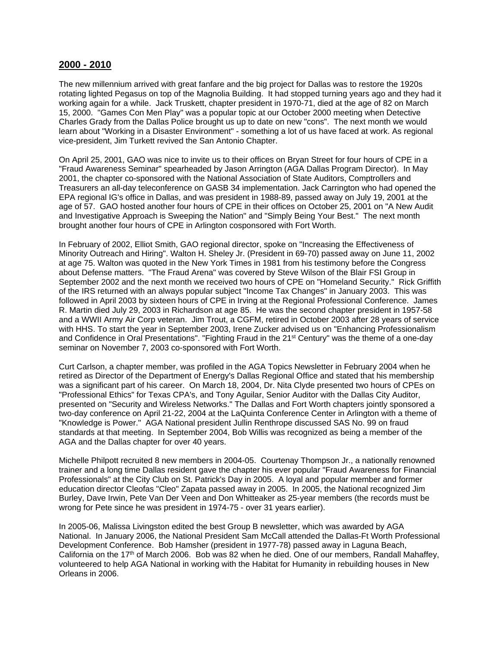## **2000 - 2010**

The new millennium arrived with great fanfare and the big project for Dallas was to restore the 1920s rotating lighted Pegasus on top of the Magnolia Building. It had stopped turning years ago and they had it working again for a while. Jack Truskett, chapter president in 1970-71, died at the age of 82 on March 15, 2000. "Games Con Men Play" was a popular topic at our October 2000 meeting when Detective Charles Grady from the Dallas Police brought us up to date on new "cons". The next month we would learn about "Working in a Disaster Environment" - something a lot of us have faced at work. As regional vice-president, Jim Turkett revived the San Antonio Chapter.

On April 25, 2001, GAO was nice to invite us to their offices on Bryan Street for four hours of CPE in a "Fraud Awareness Seminar" spearheaded by Jason Arrington (AGA Dallas Program Director). In May 2001, the chapter co-sponsored with the National Association of State Auditors, Comptrollers and Treasurers an all-day teleconference on GASB 34 implementation. Jack Carrington who had opened the EPA regional IG's office in Dallas, and was president in 1988-89, passed away on July 19, 2001 at the age of 57. GAO hosted another four hours of CPE in their offices on October 25, 2001 on "A New Audit and Investigative Approach is Sweeping the Nation" and "Simply Being Your Best." The next month brought another four hours of CPE in Arlington cosponsored with Fort Worth.

In February of 2002, Elliot Smith, GAO regional director, spoke on "Increasing the Effectiveness of Minority Outreach and Hiring". Walton H. Sheley Jr. (President in 69-70) passed away on June 11, 2002 at age 75. Walton was quoted in the New York Times in 1981 from his testimony before the Congress about Defense matters. "The Fraud Arena" was covered by Steve Wilson of the Blair FSI Group in September 2002 and the next month we received two hours of CPE on "Homeland Security." Rick Griffith of the IRS returned with an always popular subject "Income Tax Changes" in January 2003. This was followed in April 2003 by sixteen hours of CPE in Irving at the Regional Professional Conference. James R. Martin died July 29, 2003 in Richardson at age 85. He was the second chapter president in 1957-58 and a WWII Army Air Corp veteran. Jim Trout, a CGFM, retired in October 2003 after 28 years of service with HHS. To start the year in September 2003, Irene Zucker advised us on "Enhancing Professionalism and Confidence in Oral Presentations". "Fighting Fraud in the 21<sup>st</sup> Century" was the theme of a one-day seminar on November 7, 2003 co-sponsored with Fort Worth.

Curt Carlson, a chapter member, was profiled in the AGA Topics Newsletter in February 2004 when he retired as Director of the Department of Energy's Dallas Regional Office and stated that his membership was a significant part of his career. On March 18, 2004, Dr. Nita Clyde presented two hours of CPEs on "Professional Ethics" for Texas CPA's, and Tony Aguilar, Senior Auditor with the Dallas City Auditor, presented on "Security and Wireless Networks." The Dallas and Fort Worth chapters jointly sponsored a two-day conference on April 21-22, 2004 at the LaQuinta Conference Center in Arlington with a theme of "Knowledge is Power." AGA National president Jullin Renthrope discussed SAS No. 99 on fraud standards at that meeting. In September 2004, Bob Willis was recognized as being a member of the AGA and the Dallas chapter for over 40 years.

Michelle Philpott recruited 8 new members in 2004-05. Courtenay Thompson Jr., a nationally renowned trainer and a long time Dallas resident gave the chapter his ever popular "Fraud Awareness for Financial Professionals" at the City Club on St. Patrick's Day in 2005. A loyal and popular member and former education director Cleofas "Cleo" Zapata passed away in 2005. In 2005, the National recognized Jim Burley, Dave Irwin, Pete Van Der Veen and Don Whitteaker as 25-year members (the records must be wrong for Pete since he was president in 1974-75 - over 31 years earlier).

In 2005-06, Malissa Livingston edited the best Group B newsletter, which was awarded by AGA National. In January 2006, the National President Sam McCall attended the Dallas-Ft Worth Professional Development Conference. Bob Hamsher (president in 1977-78) passed away in Laguna Beach, California on the 17<sup>th</sup> of March 2006. Bob was 82 when he died. One of our members, Randall Mahaffey, volunteered to help AGA National in working with the Habitat for Humanity in rebuilding houses in New Orleans in 2006.